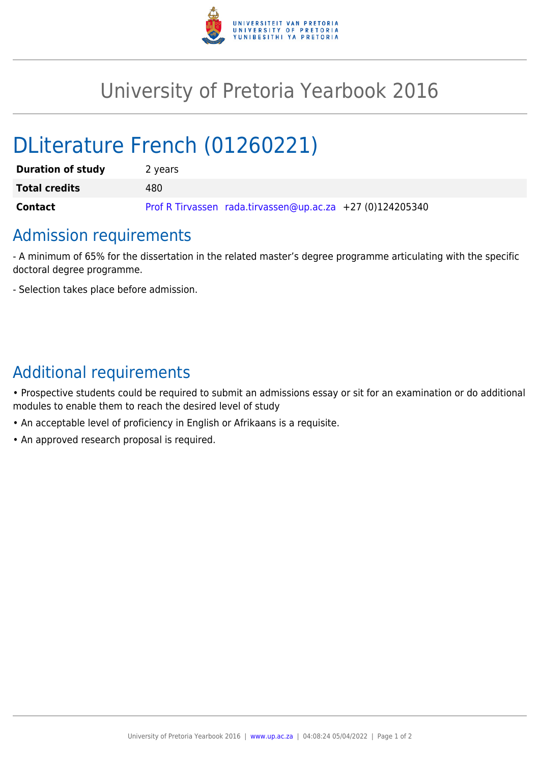

## University of Pretoria Yearbook 2016

# DLiterature French (01260221)

| <b>Duration of study</b> | 2 years                                                   |
|--------------------------|-----------------------------------------------------------|
| <b>Total credits</b>     | 480                                                       |
| <b>Contact</b>           | Prof R Tirvassen rada.tirvassen@up.ac.za +27 (0)124205340 |

### Admission requirements

- A minimum of 65% for the dissertation in the related master's degree programme articulating with the specific doctoral degree programme.

- Selection takes place before admission.

### Additional requirements

• Prospective students could be required to submit an admissions essay or sit for an examination or do additional modules to enable them to reach the desired level of study

- An acceptable level of proficiency in English or Afrikaans is a requisite.
- An approved research proposal is required.